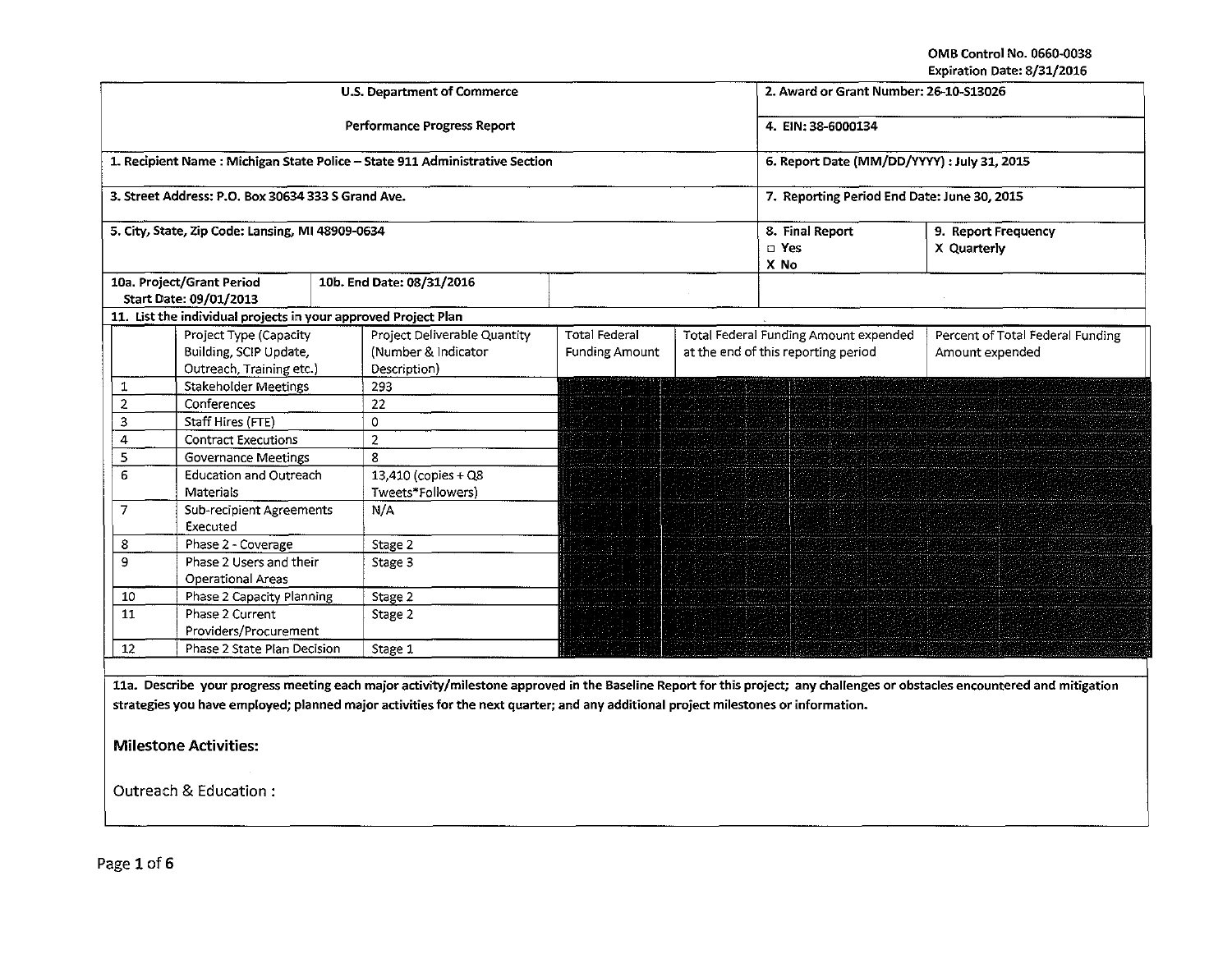OMB Control No. 0660-0038 Expiration Date: 8/31/2016

|                |                                                                              |  | <b>U.S. Department of Commerce</b>                                                                                                 | 2. Award or Grant Number: 26-10-S13026        |                                    |                                                                              |                                                                                                                                                                            |
|----------------|------------------------------------------------------------------------------|--|------------------------------------------------------------------------------------------------------------------------------------|-----------------------------------------------|------------------------------------|------------------------------------------------------------------------------|----------------------------------------------------------------------------------------------------------------------------------------------------------------------------|
|                |                                                                              |  | Performance Progress Report                                                                                                        | 4. EIN: 38-6000134                            |                                    |                                                                              |                                                                                                                                                                            |
|                |                                                                              |  | 1. Recipient Name : Michigan State Police - State 911 Administrative Section                                                       | 6. Report Date (MM/DD/YYYY) : July 31, 2015   |                                    |                                                                              |                                                                                                                                                                            |
|                | 3. Street Address: P.O. Box 30634 333 S Grand Ave.                           |  |                                                                                                                                    | 7. Reporting Period End Date: June 30, 2015   |                                    |                                                                              |                                                                                                                                                                            |
|                | 5. City, State, Zip Code: Lansing, MI 48909-0634                             |  |                                                                                                                                    | 8. Final Report<br>□ Yes<br>X No              | 9. Report Frequency<br>X Quarterly |                                                                              |                                                                                                                                                                            |
|                | 10a. Project/Grant Period<br>Start Date: 09/01/2013                          |  | 10b. End Date: 08/31/2016                                                                                                          |                                               |                                    |                                                                              |                                                                                                                                                                            |
|                | 11. List the individual projects in your approved Project Plan               |  |                                                                                                                                    |                                               |                                    |                                                                              |                                                                                                                                                                            |
|                | Project Type (Capacity<br>Building, SCIP Update,<br>Outreach, Training etc.) |  | Project Deliverable Quantity<br>(Number & Indicator<br>Description)                                                                | <b>Total Federal</b><br><b>Funding Amount</b> |                                    | Total Federal Funding Amount expended<br>at the end of this reporting period | Percent of Total Federal Funding<br>Amount expended                                                                                                                        |
| 1              | <b>Stakeholder Meetings</b>                                                  |  | 293                                                                                                                                |                                               |                                    |                                                                              |                                                                                                                                                                            |
| $\overline{2}$ | Conferences                                                                  |  | 22                                                                                                                                 |                                               |                                    |                                                                              |                                                                                                                                                                            |
| 3              | Staff Hires (FTE)                                                            |  | $\circ$                                                                                                                            |                                               |                                    |                                                                              |                                                                                                                                                                            |
| $\overline{4}$ | <b>Contract Executions</b>                                                   |  | $\overline{2}$                                                                                                                     |                                               |                                    |                                                                              |                                                                                                                                                                            |
| 5              | Governance Meetings                                                          |  | 8                                                                                                                                  |                                               |                                    |                                                                              |                                                                                                                                                                            |
| 6              | <b>Education and Outreach</b>                                                |  | 13,410 (copies + Q8                                                                                                                |                                               |                                    |                                                                              |                                                                                                                                                                            |
|                | Materials                                                                    |  | Tweets*Followers)                                                                                                                  |                                               |                                    |                                                                              |                                                                                                                                                                            |
| 7              | Sub-recipient Agreements<br>Executed                                         |  | N/A                                                                                                                                |                                               |                                    |                                                                              |                                                                                                                                                                            |
| 8              | Phase 2 - Coverage                                                           |  | Stage 2                                                                                                                            |                                               |                                    |                                                                              |                                                                                                                                                                            |
| 9              | Phase 2 Users and their<br><b>Operational Areas</b>                          |  | Stage 3                                                                                                                            |                                               |                                    |                                                                              |                                                                                                                                                                            |
| 10             | Phase 2 Capacity Planning                                                    |  | Stage 2                                                                                                                            |                                               |                                    |                                                                              |                                                                                                                                                                            |
| 11             | Phase 2 Current<br>Providers/Procurement                                     |  | Stage 2                                                                                                                            |                                               |                                    |                                                                              |                                                                                                                                                                            |
| 12             | Phase 2 State Plan Decision                                                  |  | Stage 1                                                                                                                            |                                               |                                    |                                                                              |                                                                                                                                                                            |
|                | <b>Milestone Activities:</b><br>Outreach & Education:                        |  | strategies you have employed; planned major activities for the next quarter; and any additional project milestones or information. |                                               |                                    |                                                                              | 11a. Describe your progress meeting each major activity/milestone approved in the Baseline Report for this project; any challenges or obstacles encountered and mitigation |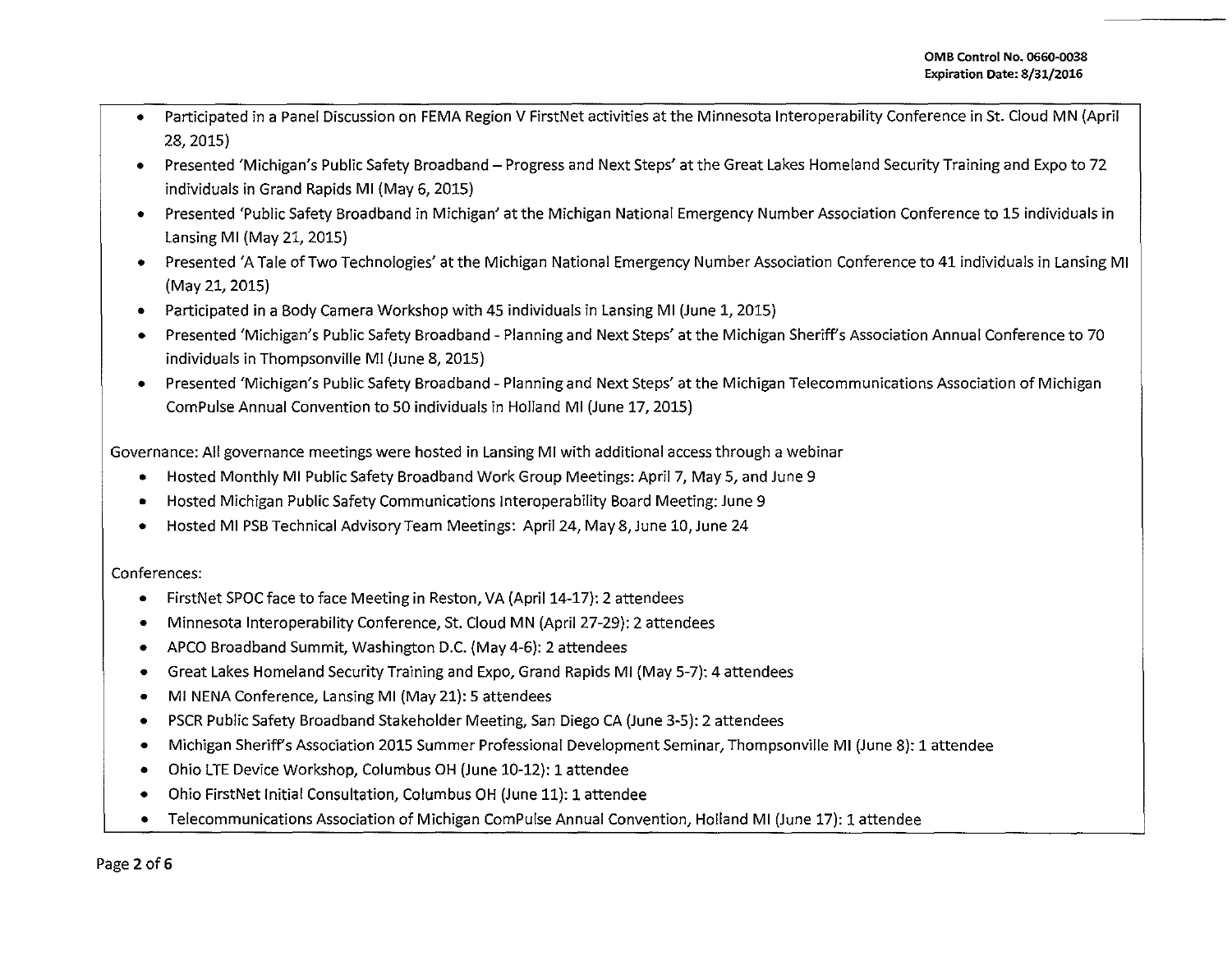- Participated in a Panel Discussion on FEMA Region V FirstNet activities at the Minnesota lnteroperability Conference in St. Cloud MN (April 28, 2015)
- Presented 'Michigan's Public Safety Broadband- Progress and Next Steps' at the Great Lakes Homeland Security Training and Expo to 72 individuals in Grand Rapids Ml (May 6, 2015)
- Presented 'Public Safety Broadband in Michigan' at the Michigan National Emergency Number Association Conference to 15 individuals in Lansing Ml (May 21, 2015)
- Presented 'A Tale of Two Technologies' at the Michigan National Emergency Number Association Conference to 41 individuals in Lansing Ml (May 21, 2015)
- Participated in a Body Camera Workshop with 45 individuals in Lansing Ml (June 1, 2015)
- Presented 'Michigan's Public Safety Broadband- Planning and Next Steps' at the Michigan Sheriffs Association Annual Conference to 70 individuals in Thompsonville Ml (June 8, 2015)
- Presented 'Michigan's Public Safety Broadband- Planning and Next Steps' at the Michigan Telecommunications Association of Michigan Com Pulse Annual Convention to 50 individuals in Holland Ml (June 17, 2015)

Governance: All governance meetings were hosted in Lansing Ml with additional access through a webinar

- Hosted Monthly Ml Public Safety Broadband Work Group Meetings: April 7, May 5, and June 9
- Hosted Michigan Public Safety Communications lnteroperability Board Meeting: June 9
- Hosted Ml PSB Technical Advisory Team Meetings: April 24, May8,June 10,June 24

## Conferences:

- FirstNet SPOC face to face Meeting in Reston, VA (April 14-17): 2 attendees
- Minnesota lnteroperability Conference, St. Cloud MN (April 27-29): 2 attendees
- APCO Broadband Summit, Washington D.C. (May 4-6): 2 attendees
- Great Lakes Homeland Security Training and Expo, Grand Rapids Ml (May 5-7): 4 attendees
- Ml NENA Conference, Lansing Ml (May 21): 5 attendees
- PSCR Public Safety Broadband Stakeholder Meeting, San Diego CA (June 3-5): 2 attendees
- Michigan Sheriffs Association 2015 Summer Professional Development Seminar, Thompsonville Ml (June 8): 1 attendee
- Ohio LTE Device Workshop, Columbus OH (June 10-12): 1 attendee
- Ohio FirstNet Initial Consultation, Columbus OH (June 11): 1 attendee
- Telecommunications Association of Michigan ComPulse Annual Convention, Holland MI (June 17): 1 attendee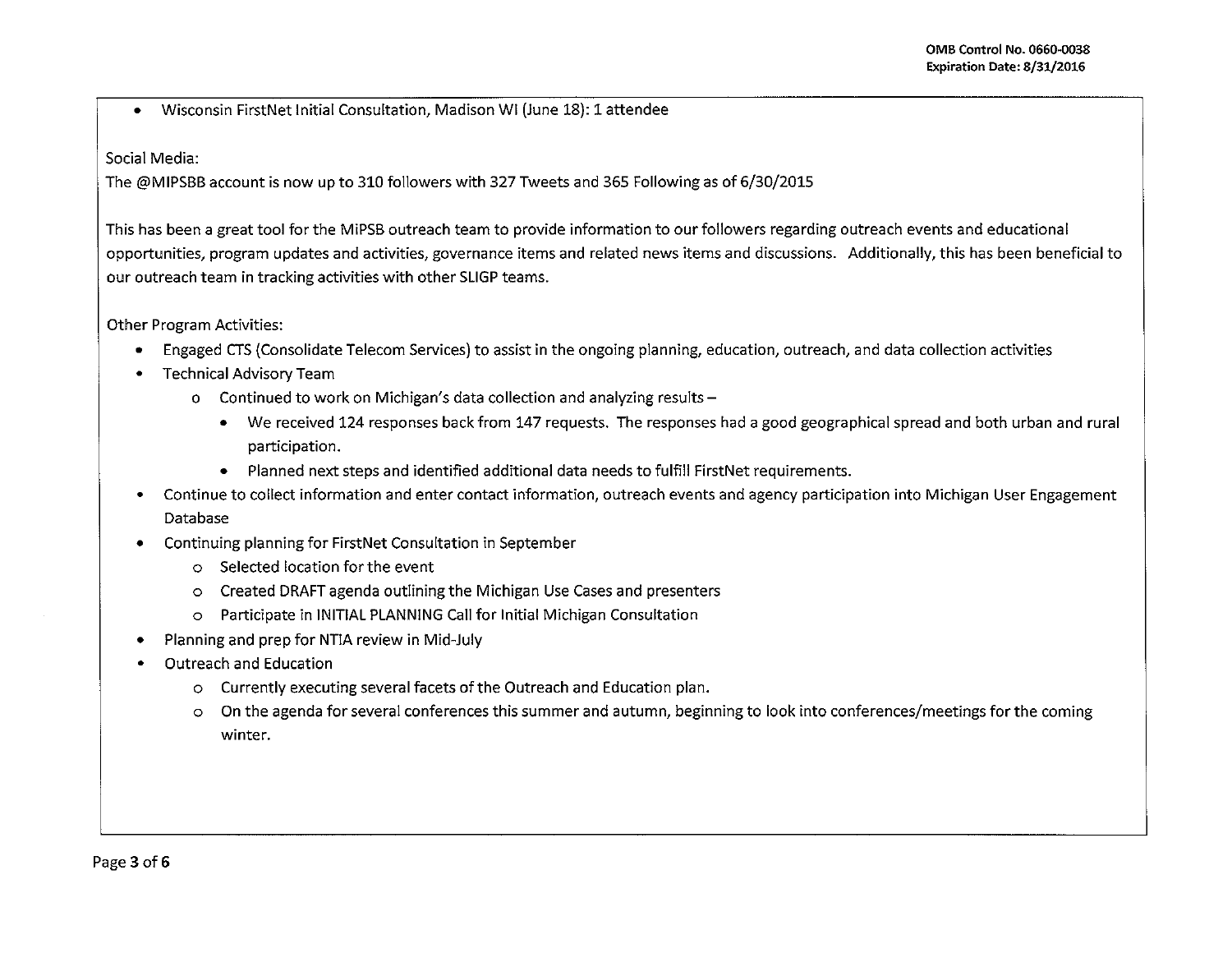• Wisconsin FirstNet Initial Consultation, Madison WI (June 18): 1 attendee

Social Media:

The @MIPSBB account is now up to 310 followers with 327 Tweets and 365 Following as of 6/30/2015

This has been a great tool for the MiPSB outreach team to provide information to our followers regarding outreach events and educational opportunities, program updates and activities, governance items and related news items and discussions. Additionally, this has been beneficial to our outreach team in tracking activities with other SLIGP teams.

Other Program Activities:

- Engaged CTS {Consolidate Telecom Services) to assist in the ongoing planning, education, outreach, and data collection activities
- Technical Advisory Team
	- o Continued to work on Michigan's data collection and analyzing results-
		- We received 124 responses back from 147 requests. The responses had a good geographical spread and both urban and rural participation.
		- Planned next steps and identified additional data needs to fulfill FirstNet requirements.
- Continue to collect information and enter contact information, outreach events and agency participation into Michigan User Engagement Database
- Continuing planning for FirstNet Consultation in September
	- o Selected location for the event
	- o Created DRAFT agenda outlining the Michigan Use Cases and presenters
	- o Participate in INITIAL PLANNING Call for Initial Michigan Consultation
- Planning and prep for NTIA review in Mid-July
- Outreach and Education
	- o Currently executing several facets of the Outreach and Education plan.
	- o On the agenda for several conferences this summer and autumn, beginning to look into conferences/meetings for the coming **winter.**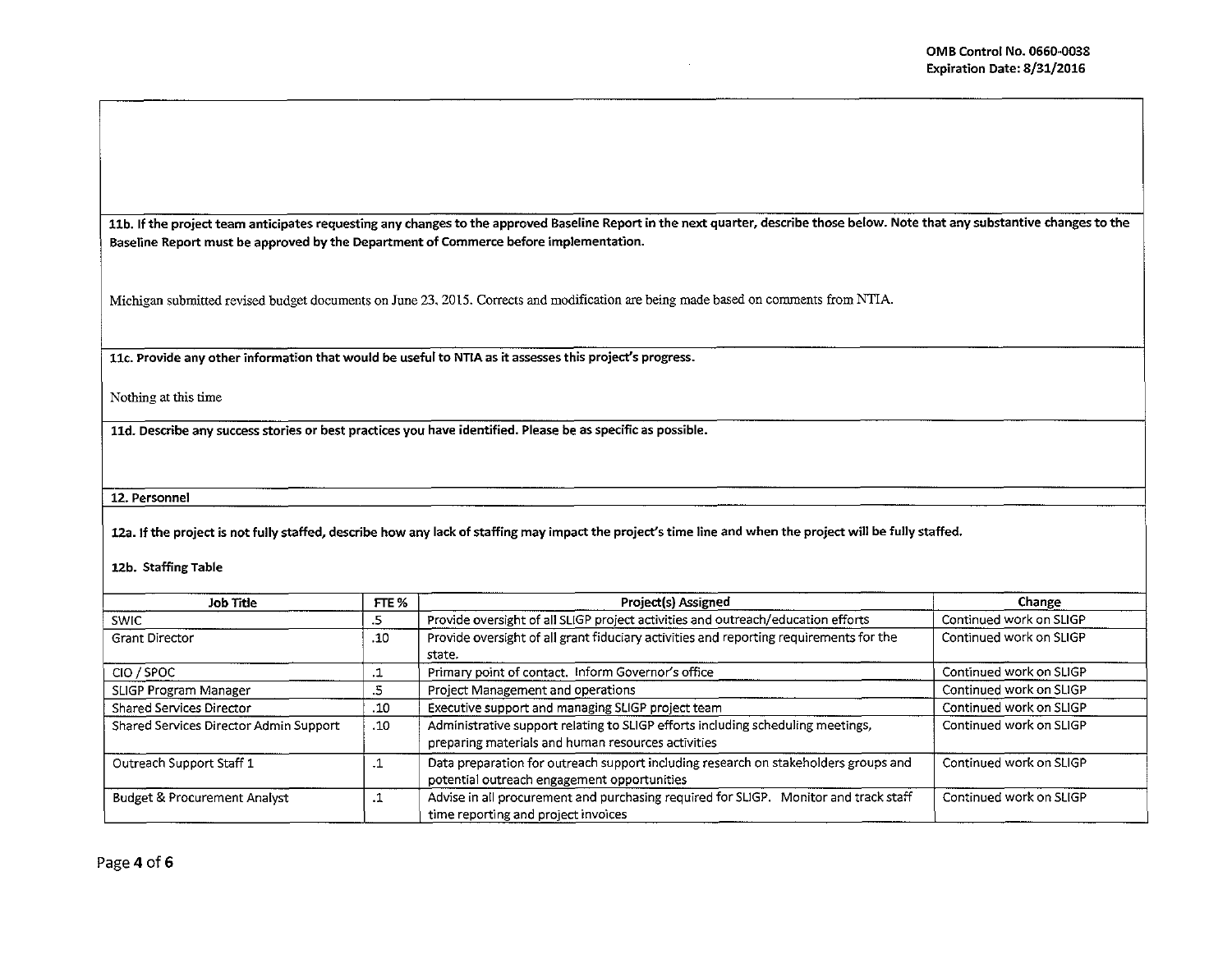11b. If the project team anticipates requesting any changes to the approved Baseline Report in the next quarter, describe those below. Note that any substantive changes to the Baseline Report must be approved by the Department of Commerce before implementation.

Michigan submitted revised budget documents on June 23. 2015. Corrects and modification are being made based on comments from NTIA.

llc. Provide any other information that would be useful to NTIA as it assesses this project's progress.

Nothing at this time

lld. Describe any success stories or best practices you have identified. Please be as specific as possible.

12. Personnel

12a. If the project is not fully staffed, describe how any lack of staffing may impact the project's time line and when the project will be fully staffed.

12b. Staffing Table

| Job Title                               | FTE %     | Project(s) Assigned                                                                                                                   | Change                  |  |
|-----------------------------------------|-----------|---------------------------------------------------------------------------------------------------------------------------------------|-------------------------|--|
| <b>SWIC</b>                             | د.        | Provide oversight of all SLIGP project activities and outreach/education efforts                                                      | Continued work on SLIGP |  |
| <b>Grant Director</b><br>.10            |           | Provide oversight of all grant fiduciary activities and reporting requirements for the<br>state.                                      | Continued work on SLIGP |  |
| CIO / SPOC                              |           | Primary point of contact. Inform Governor's office                                                                                    | Continued work on SLIGP |  |
| SLIGP Program Manager                   | د.        | Project Management and operations                                                                                                     | Continued work on SLIGP |  |
| <b>Shared Services Director</b>         | .10       | Executive support and managing SLIGP project team                                                                                     | Continued work on SLIGP |  |
| Shared Services Director Admin Support  | .10       | Administrative support relating to SLIGP efforts including scheduling meetings,<br>preparing materials and human resources activities | Continued work on SLIGP |  |
| Outreach Support Staff 1                | $\cdot$ 1 | Data preparation for outreach support including research on stakeholders groups and<br>potential outreach engagement opportunities    | Continued work on SLIGP |  |
| <b>Budget &amp; Procurement Analyst</b> | .1        | Advise in all procurement and purchasing required for SLIGP. Monitor and track staff<br>time reporting and project invoices           | Continued work on SLIGP |  |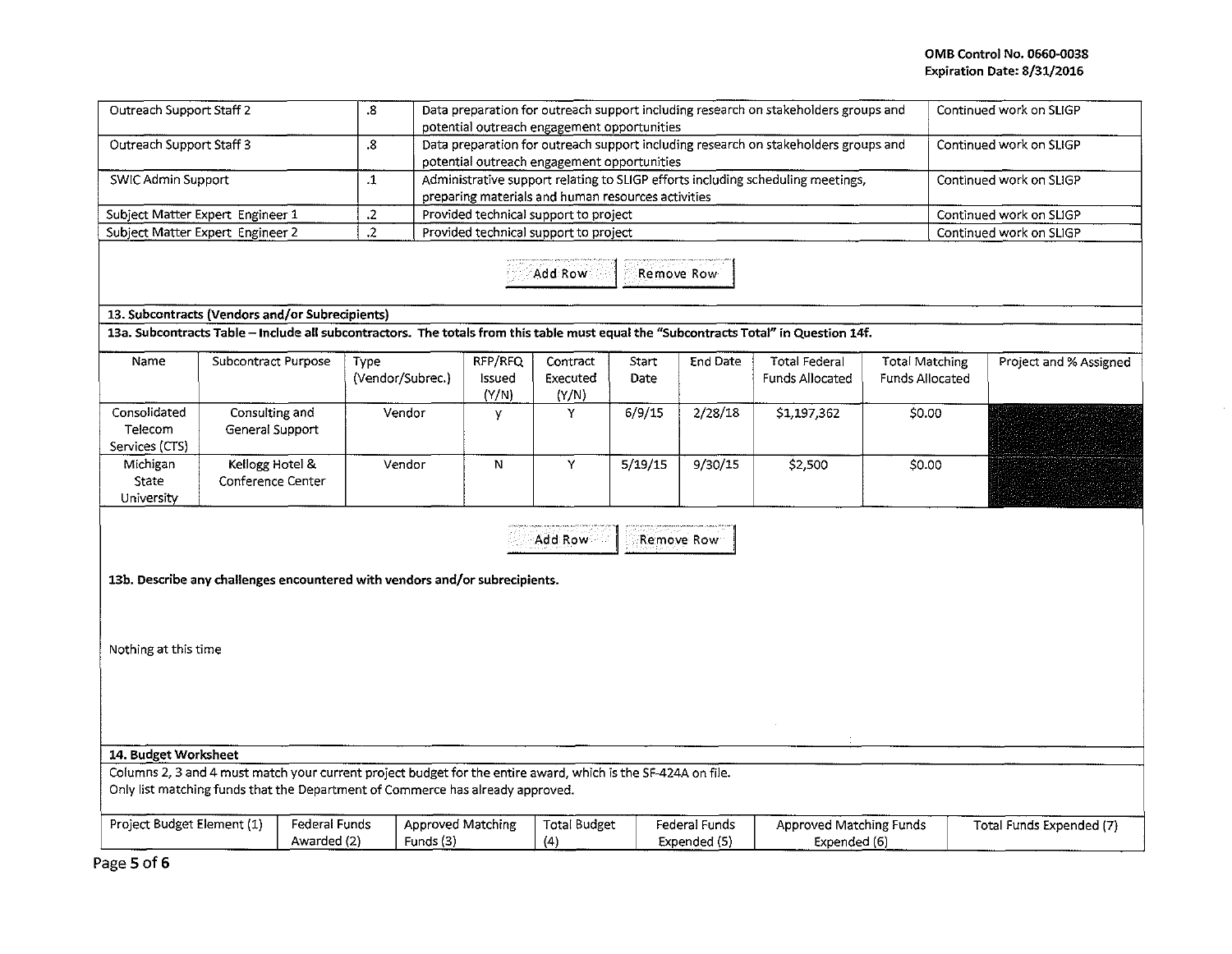| Outreach Support Staff 2                                                                                        |                                                                                                                                                                                                 |                                                                                                                                                                               | $\boldsymbol{.8}$                     | Data preparation for outreach support including research on stakeholders groups and<br>Continued work on SLIGP<br>potential outreach engagement opportunities |                                                             |                               |               |                                                |                                                                                                                                       |                                          |                          |                         |  |
|-----------------------------------------------------------------------------------------------------------------|-------------------------------------------------------------------------------------------------------------------------------------------------------------------------------------------------|-------------------------------------------------------------------------------------------------------------------------------------------------------------------------------|---------------------------------------|---------------------------------------------------------------------------------------------------------------------------------------------------------------|-------------------------------------------------------------|-------------------------------|---------------|------------------------------------------------|---------------------------------------------------------------------------------------------------------------------------------------|------------------------------------------|--------------------------|-------------------------|--|
| Outreach Support Staff 3                                                                                        | 8.                                                                                                                                                                                              | Data preparation for outreach support including research on stakeholders groups and<br>Continued work on SLIGP<br>potential outreach engagement opportunities                 |                                       |                                                                                                                                                               |                                                             |                               |               |                                                |                                                                                                                                       |                                          |                          |                         |  |
| SWIC Admin Support                                                                                              |                                                                                                                                                                                                 | Administrative support relating to SLIGP efforts including scheduling meetings,<br>$\cdot$ 1<br>Continued work on SLIGP<br>preparing materials and human resources activities |                                       |                                                                                                                                                               |                                                             |                               |               |                                                |                                                                                                                                       |                                          |                          |                         |  |
| $\cdot$<br>Provided technical support to project<br>Subject Matter Expert Engineer 1<br>Continued work on SLIGP |                                                                                                                                                                                                 |                                                                                                                                                                               |                                       |                                                                                                                                                               |                                                             |                               |               |                                                |                                                                                                                                       |                                          |                          |                         |  |
|                                                                                                                 | Subject Matter Expert Engineer 2                                                                                                                                                                |                                                                                                                                                                               | $\cdot$                               | Provided technical support to project                                                                                                                         |                                                             |                               |               |                                                |                                                                                                                                       |                                          |                          | Continued work on SLIGP |  |
|                                                                                                                 |                                                                                                                                                                                                 |                                                                                                                                                                               |                                       |                                                                                                                                                               |                                                             | Add Row                       |               | Remove Row                                     |                                                                                                                                       |                                          |                          |                         |  |
|                                                                                                                 | 13. Subcontracts (Vendors and/or Subrecipients)                                                                                                                                                 |                                                                                                                                                                               |                                       |                                                                                                                                                               |                                                             |                               |               |                                                |                                                                                                                                       |                                          |                          |                         |  |
|                                                                                                                 |                                                                                                                                                                                                 |                                                                                                                                                                               |                                       |                                                                                                                                                               |                                                             |                               |               |                                                | 13a. Subcontracts Table - Include all subcontractors. The totals from this table must equal the "Subcontracts Total" in Question 14f. |                                          |                          |                         |  |
| Name                                                                                                            | Subcontract Purpose                                                                                                                                                                             |                                                                                                                                                                               | Type                                  | (Vendor/Subrec.)                                                                                                                                              | RFP/RFQ<br>Issued<br>(Y/N)                                  | Contract<br>Executed<br>(Y/N) | Start<br>Date | End Date                                       | <b>Total Federal</b><br>Funds Allocated                                                                                               | Total Matching<br><b>Funds Allocated</b> |                          | Project and % Assigned  |  |
| Consolidated                                                                                                    | Consulting and                                                                                                                                                                                  |                                                                                                                                                                               |                                       | Vendor                                                                                                                                                        | y                                                           | Y                             | 6/9/15        | 2/28/18                                        | \$1,197,362                                                                                                                           | \$0.00                                   |                          |                         |  |
| Telecom                                                                                                         | General Support                                                                                                                                                                                 |                                                                                                                                                                               |                                       |                                                                                                                                                               |                                                             |                               |               |                                                |                                                                                                                                       |                                          |                          |                         |  |
| Services (CTS)                                                                                                  |                                                                                                                                                                                                 |                                                                                                                                                                               |                                       |                                                                                                                                                               |                                                             |                               |               |                                                |                                                                                                                                       |                                          |                          |                         |  |
| Michigan                                                                                                        | Kellogg Hotel &                                                                                                                                                                                 |                                                                                                                                                                               | Vendor                                |                                                                                                                                                               | N                                                           | Y                             | 5/19/15       | 9/30/15                                        | \$2,500                                                                                                                               | \$0.00                                   |                          |                         |  |
| State                                                                                                           | Conference Center                                                                                                                                                                               |                                                                                                                                                                               |                                       |                                                                                                                                                               |                                                             |                               |               |                                                |                                                                                                                                       |                                          |                          |                         |  |
| University                                                                                                      |                                                                                                                                                                                                 |                                                                                                                                                                               |                                       |                                                                                                                                                               |                                                             |                               |               |                                                |                                                                                                                                       |                                          |                          |                         |  |
|                                                                                                                 | 13b. Describe any challenges encountered with vendors and/or subrecipients.                                                                                                                     |                                                                                                                                                                               |                                       |                                                                                                                                                               |                                                             | Add Row                       |               | Remove Row                                     |                                                                                                                                       |                                          |                          |                         |  |
| Nothing at this time                                                                                            |                                                                                                                                                                                                 |                                                                                                                                                                               |                                       |                                                                                                                                                               |                                                             |                               |               |                                                |                                                                                                                                       |                                          |                          |                         |  |
|                                                                                                                 |                                                                                                                                                                                                 |                                                                                                                                                                               |                                       |                                                                                                                                                               |                                                             |                               |               |                                                |                                                                                                                                       |                                          |                          |                         |  |
| 14. Budget Worksheet                                                                                            |                                                                                                                                                                                                 |                                                                                                                                                                               |                                       |                                                                                                                                                               |                                                             |                               |               |                                                |                                                                                                                                       |                                          |                          |                         |  |
|                                                                                                                 | Columns 2, 3 and 4 must match your current project budget for the entire award, which is the SF-424A on file.<br>Only list matching funds that the Department of Commerce has already approved. |                                                                                                                                                                               |                                       |                                                                                                                                                               |                                                             |                               |               |                                                |                                                                                                                                       |                                          |                          |                         |  |
| Project Budget Element (1)                                                                                      |                                                                                                                                                                                                 | <b>Federal Funds</b><br>Awarded (2)                                                                                                                                           | <b>Approved Matching</b><br>Funds (3) |                                                                                                                                                               | <b>Total Budget</b><br>Federal Funds<br>(4)<br>Expended (5) |                               |               | <b>Approved Matching Funds</b><br>Expended (6) |                                                                                                                                       |                                          | Total Funds Expended (7) |                         |  |